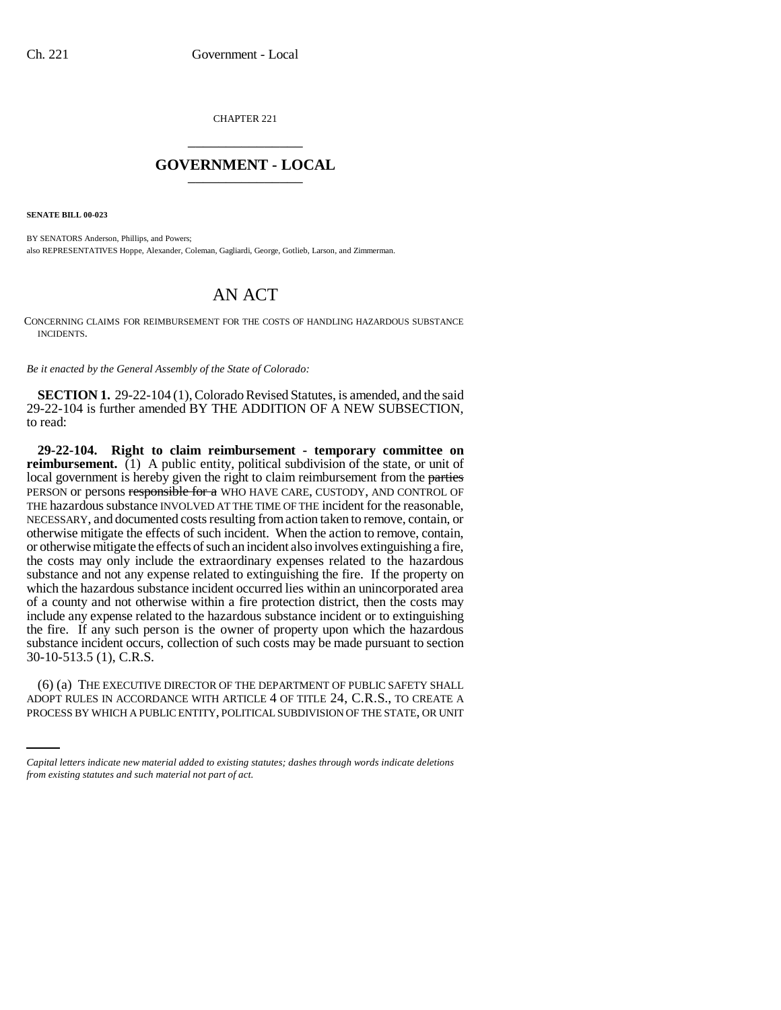CHAPTER 221 \_\_\_\_\_\_\_\_\_\_\_\_\_\_\_

## **GOVERNMENT - LOCAL** \_\_\_\_\_\_\_\_\_\_\_\_\_\_\_

**SENATE BILL 00-023** 

BY SENATORS Anderson, Phillips, and Powers; also REPRESENTATIVES Hoppe, Alexander, Coleman, Gagliardi, George, Gotlieb, Larson, and Zimmerman.

## AN ACT

CONCERNING CLAIMS FOR REIMBURSEMENT FOR THE COSTS OF HANDLING HAZARDOUS SUBSTANCE INCIDENTS.

*Be it enacted by the General Assembly of the State of Colorado:*

**SECTION 1.** 29-22-104 (1), Colorado Revised Statutes, is amended, and the said 29-22-104 is further amended BY THE ADDITION OF A NEW SUBSECTION, to read:

**29-22-104. Right to claim reimbursement - temporary committee on reimbursement.** (1) A public entity, political subdivision of the state, or unit of local government is hereby given the right to claim reimbursement from the parties PERSON or persons responsible for a WHO HAVE CARE, CUSTODY, AND CONTROL OF THE hazardous substance INVOLVED AT THE TIME OF THE incident for the reasonable, NECESSARY, and documented costs resulting from action taken to remove, contain, or otherwise mitigate the effects of such incident. When the action to remove, contain, or otherwise mitigate the effects of such an incident also involves extinguishing a fire, the costs may only include the extraordinary expenses related to the hazardous substance and not any expense related to extinguishing the fire. If the property on which the hazardous substance incident occurred lies within an unincorporated area of a county and not otherwise within a fire protection district, then the costs may include any expense related to the hazardous substance incident or to extinguishing the fire. If any such person is the owner of property upon which the hazardous substance incident occurs, collection of such costs may be made pursuant to section 30-10-513.5 (1), C.R.S.

(6) (a) THE EXECUTIVE DIRECTOR OF THE DEPARTMENT OF PUBLIC SAFETY SHALL ADOPT RULES IN ACCORDANCE WITH ARTICLE 4 OF TITLE 24, C.R.S., TO CREATE A PROCESS BY WHICH A PUBLIC ENTITY, POLITICAL SUBDIVISION OF THE STATE, OR UNIT

*Capital letters indicate new material added to existing statutes; dashes through words indicate deletions from existing statutes and such material not part of act.*